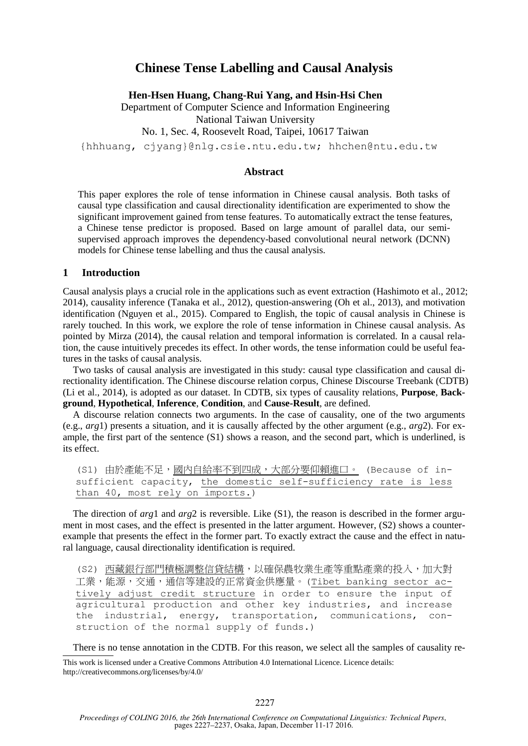# **Chinese Tense Labelling and Causal Analysis**

**Hen-Hsen Huang, Chang-Rui Yang, and Hsin-Hsi Chen**

Department of Computer Science and Information Engineering National Taiwan University No. 1, Sec. 4, Roosevelt Road, Taipei, 10617 Taiwan

{hhhuang, cjyang}@nlg.csie.ntu.edu.tw; hhchen@ntu.edu.tw

### **Abstract**

This paper explores the role of tense information in Chinese causal analysis. Both tasks of causal type classification and causal directionality identification are experimented to show the significant improvement gained from tense features. To automatically extract the tense features, a Chinese tense predictor is proposed. Based on large amount of parallel data, our semisupervised approach improves the dependency-based convolutional neural network (DCNN) models for Chinese tense labelling and thus the causal analysis.

#### **1 Introduction**

Causal analysis plays a crucial role in the applications such as event extraction (Hashimoto et al., 2012; 2014), causality inference (Tanaka et al., 2012), question-answering (Oh et al., 2013), and motivation identification (Nguyen et al., 2015). Compared to English, the topic of causal analysis in Chinese is rarely touched. In this work, we explore the role of tense information in Chinese causal analysis. As pointed by Mirza (2014), the causal relation and temporal information is correlated. In a causal relation, the cause intuitively precedes its effect. In other words, the tense information could be useful features in the tasks of causal analysis.

Two tasks of causal analysis are investigated in this study: causal type classification and causal directionality identification. The Chinese discourse relation corpus, Chinese Discourse Treebank (CDTB) (Li et al., 2014), is adopted as our dataset. In CDTB, six types of causality relations, **Purpose**, **Background**, **Hypothetical**, **Inference**, **Condition**, and **Cause-Result**, are defined.

A discourse relation connects two arguments. In the case of causality, one of the two arguments (e.g., *arg*1) presents a situation, and it is causally affected by the other argument (e.g., *arg*2). For example, the first part of the sentence (S1) shows a reason, and the second part, which is underlined, is its effect.

(S1) 由於產能不足,國內自給率不到四成,大部分要仰賴進口。 (Because of insufficient capacity, the domestic self-sufficiency rate is less than 40, most rely on imports.)

The direction of *arg*1 and *arg*2 is reversible. Like (S1), the reason is described in the former argument in most cases, and the effect is presented in the latter argument. However, (S2) shows a counterexample that presents the effect in the former part. To exactly extract the cause and the effect in natural language, causal directionality identification is required.

(S2) 西藏銀行部門積極調整信貸結構,以確保農牧業生產等重點產業的投入,加大對 工業,能源,交通,通信等建設的正常資金供應量。(Tibet banking sector actively adjust credit structure in order to ensure the input of agricultural production and other key industries, and increase the industrial, energy, transportation, communications, construction of the normal supply of funds.)

There is no tense annotation in the CDTB. For this reason, we select all the samples of causality re-

This work is licensed under a Creative Commons Attribution 4.0 International Licence. Licence details: http://creativecommons.org/licenses/by/4.0/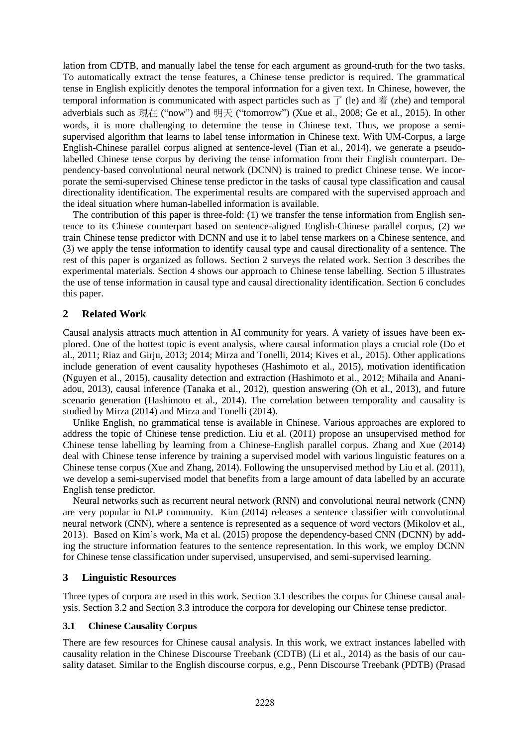lation from CDTB, and manually label the tense for each argument as ground-truth for the two tasks. To automatically extract the tense features, a Chinese tense predictor is required. The grammatical tense in English explicitly denotes the temporal information for a given text. In Chinese, however, the temporal information is communicated with aspect particles such as  $\vec{f}$  (le) and  $\hat{\vec{f}}$  (zhe) and temporal adverbials such as 現在 ("now") and 明天 ("tomorrow") (Xue et al., 2008; Ge et al., 2015). In other words, it is more challenging to determine the tense in Chinese text. Thus, we propose a semisupervised algorithm that learns to label tense information in Chinese text. With UM-Corpus, a large English-Chinese parallel corpus aligned at sentence-level (Tian et al., 2014), we generate a pseudolabelled Chinese tense corpus by deriving the tense information from their English counterpart. Dependency-based convolutional neural network (DCNN) is trained to predict Chinese tense. We incorporate the semi-supervised Chinese tense predictor in the tasks of causal type classification and causal directionality identification. The experimental results are compared with the supervised approach and the ideal situation where human-labelled information is available.

The contribution of this paper is three-fold: (1) we transfer the tense information from English sentence to its Chinese counterpart based on sentence-aligned English-Chinese parallel corpus, (2) we train Chinese tense predictor with DCNN and use it to label tense markers on a Chinese sentence, and (3) we apply the tense information to identify causal type and causal directionality of a sentence. The rest of this paper is organized as follows. Section 2 surveys the related work. Section 3 describes the experimental materials. Section 4 shows our approach to Chinese tense labelling. Section 5 illustrates the use of tense information in causal type and causal directionality identification. Section 6 concludes this paper.

## **2 Related Work**

Causal analysis attracts much attention in AI community for years. A variety of issues have been explored. One of the hottest topic is event analysis, where causal information plays a crucial role (Do et al., 2011; Riaz and Girju, 2013; 2014; Mirza and Tonelli, 2014; Kives et al., 2015). Other applications include generation of event causality hypotheses (Hashimoto et al., 2015), motivation identification (Nguyen et al., 2015), causality detection and extraction (Hashimoto et al., 2012; Mihaila and Ananiadou, 2013), causal inference (Tanaka et al., 2012), question answering (Oh et al., 2013), and future scenario generation (Hashimoto et al., 2014). The correlation between temporality and causality is studied by Mirza (2014) and Mirza and Tonelli (2014).

Unlike English, no grammatical tense is available in Chinese. Various approaches are explored to address the topic of Chinese tense prediction. Liu et al. (2011) propose an unsupervised method for Chinese tense labelling by learning from a Chinese-English parallel corpus. Zhang and Xue (2014) deal with Chinese tense inference by training a supervised model with various linguistic features on a Chinese tense corpus (Xue and Zhang, 2014). Following the unsupervised method by Liu et al. (2011), we develop a semi-supervised model that benefits from a large amount of data labelled by an accurate English tense predictor.

Neural networks such as recurrent neural network (RNN) and convolutional neural network (CNN) are very popular in NLP community. Kim (2014) releases a sentence classifier with convolutional neural network (CNN), where a sentence is represented as a sequence of word vectors (Mikolov et al., 2013). Based on Kim's work, Ma et al. (2015) propose the dependency-based CNN (DCNN) by adding the structure information features to the sentence representation. In this work, we employ DCNN for Chinese tense classification under supervised, unsupervised, and semi-supervised learning.

### **3 Linguistic Resources**

Three types of corpora are used in this work. Section 3.1 describes the corpus for Chinese causal analysis. Section 3.2 and Section 3.3 introduce the corpora for developing our Chinese tense predictor.

### **3.1 Chinese Causality Corpus**

There are few resources for Chinese causal analysis. In this work, we extract instances labelled with causality relation in the Chinese Discourse Treebank (CDTB) (Li et al., 2014) as the basis of our causality dataset. Similar to the English discourse corpus, e.g., Penn Discourse Treebank (PDTB) (Prasad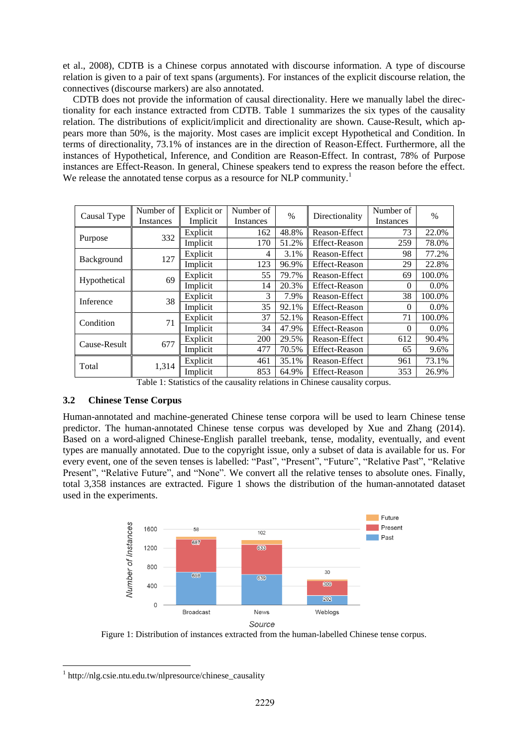et al., 2008), CDTB is a Chinese corpus annotated with discourse information. A type of discourse relation is given to a pair of text spans (arguments). For instances of the explicit discourse relation, the connectives (discourse markers) are also annotated.

CDTB does not provide the information of causal directionality. Here we manually label the directionality for each instance extracted from CDTB. Table 1 summarizes the six types of the causality relation. The distributions of explicit/implicit and directionality are shown. Cause-Result, which appears more than 50%, is the majority. Most cases are implicit except Hypothetical and Condition. In terms of directionality, 73.1% of instances are in the direction of Reason-Effect. Furthermore, all the instances of Hypothetical, Inference, and Condition are Reason-Effect. In contrast, 78% of Purpose instances are Effect-Reason. In general, Chinese speakers tend to express the reason before the effect. We release the annotated tense corpus as a resource for NLP community.<sup>1</sup>

| Causal Type  | Number of<br>Instances | Explicit or<br>Implicit | Number of<br>Instances | $\%$  | Directionality       | Number of<br>Instances | $\%$    |
|--------------|------------------------|-------------------------|------------------------|-------|----------------------|------------------------|---------|
|              | 332                    | Explicit                | 162                    | 48.8% | Reason-Effect        | 73                     | 22.0%   |
| Purpose      |                        | Implicit                | 170                    | 51.2% | <b>Effect-Reason</b> | 259                    | 78.0%   |
|              | 127                    | Explicit                | 4                      | 3.1%  | Reason-Effect        | 98                     | 77.2%   |
| Background   |                        | Implicit                | 123                    | 96.9% | Effect-Reason        | 29                     | 22.8%   |
|              | 69                     | Explicit                | 55                     | 79.7% | Reason-Effect        | 69                     | 100.0%  |
| Hypothetical |                        | Implicit                | 14                     | 20.3% | <b>Effect-Reason</b> | $\Omega$               | $0.0\%$ |
| Inference    | 38                     | Explicit                | 3                      | 7.9%  | Reason-Effect        | 38                     | 100.0%  |
|              |                        | Implicit                | 35                     | 92.1% | <b>Effect-Reason</b> | $\Omega$               | 0.0%    |
| Condition    | 71                     | Explicit                | 37                     | 52.1% | Reason-Effect        | 71                     | 100.0%  |
|              |                        | Implicit                | 34                     | 47.9% | <b>Effect-Reason</b> | $\Omega$               | $0.0\%$ |
| Cause-Result | 677                    | Explicit                | 200                    | 29.5% | Reason-Effect        | 612                    | 90.4%   |
|              |                        | Implicit                | 477                    | 70.5% | Effect-Reason        | 65                     | 9.6%    |
| Total        |                        | Explicit                | 461                    | 35.1% | Reason-Effect        | 961                    | 73.1%   |
|              | 1,314                  | Implicit                | 853                    | 64.9% | <b>Effect-Reason</b> | 353                    | 26.9%   |

Table 1: Statistics of the causality relations in Chinese causality corpus.

## **3.2 Chinese Tense Corpus**

Human-annotated and machine-generated Chinese tense corpora will be used to learn Chinese tense predictor. The human-annotated Chinese tense corpus was developed by Xue and Zhang (2014). Based on a word-aligned Chinese-English parallel treebank, tense, modality, eventually, and event types are manually annotated. Due to the copyright issue, only a subset of data is available for us. For every event, one of the seven tenses is labelled: "Past", "Present", "Future", "Relative Past", "Relative Present", "Relative Future", and "None". We convert all the relative tenses to absolute ones. Finally, total 3,358 instances are extracted. Figure 1 shows the distribution of the human-annotated dataset used in the experiments.



Figure 1: Distribution of instances extracted from the human-labelled Chinese tense corpus.

 1 http://nlg.csie.ntu.edu.tw/nlpresource/chinese\_causality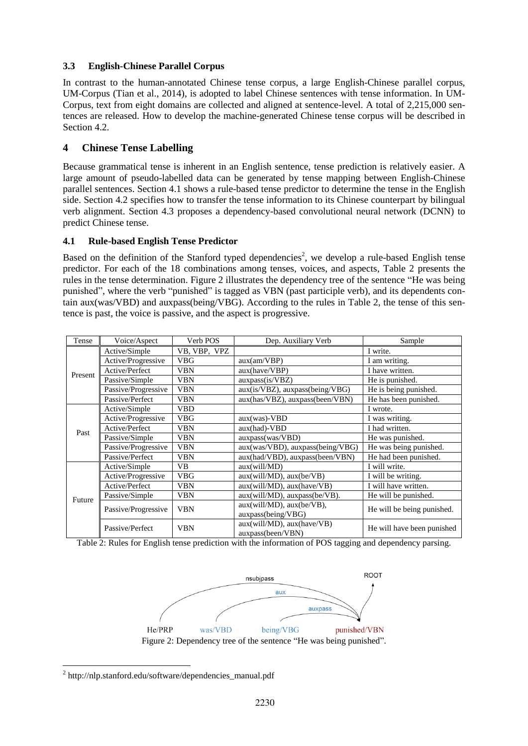## **3.3 English-Chinese Parallel Corpus**

In contrast to the human-annotated Chinese tense corpus, a large English-Chinese parallel corpus, UM-Corpus (Tian et al., 2014), is adopted to label Chinese sentences with tense information. In UM-Corpus, text from eight domains are collected and aligned at sentence-level. A total of 2,215,000 sentences are released. How to develop the machine-generated Chinese tense corpus will be described in Section 4.2.

## **4 Chinese Tense Labelling**

Because grammatical tense is inherent in an English sentence, tense prediction is relatively easier. A large amount of pseudo-labelled data can be generated by tense mapping between English-Chinese parallel sentences. Section 4.1 shows a rule-based tense predictor to determine the tense in the English side. Section 4.2 specifies how to transfer the tense information to its Chinese counterpart by bilingual verb alignment. Section 4.3 proposes a dependency-based convolutional neural network (DCNN) to predict Chinese tense.

## **4.1 Rule-based English Tense Predictor**

Based on the definition of the Stanford typed dependencies<sup>2</sup>, we develop a rule-based English tense predictor. For each of the 18 combinations among tenses, voices, and aspects, Table 2 presents the rules in the tense determination. Figure 2 illustrates the dependency tree of the sentence "He was being punished", where the verb "punished" is tagged as VBN (past participle verb), and its dependents contain aux(was/VBD) and auxpass(being/VBG). According to the rules in Table 2, the tense of this sentence is past, the voice is passive, and the aspect is progressive.

| Tense                                  | Voice/Aspect        | Verb POS     | Dep. Auxiliary Verb                             | Sample                             |  |
|----------------------------------------|---------------------|--------------|-------------------------------------------------|------------------------------------|--|
|                                        | Active/Simple       | VB, VBP, VPZ |                                                 | I write.                           |  |
|                                        | Active/Progressive  | <b>VBG</b>   | aux(am/VBP)                                     | I am writing.                      |  |
| Present                                | Active/Perfect      | VBN          | aux(have/VBP)                                   | I have written.                    |  |
|                                        | Passive/Simple      | <b>VBN</b>   | auxpass(is/VBZ)                                 | He is punished.                    |  |
|                                        | Passive/Progressive | <b>VBN</b>   | aux(is/VBZ), auxpass(being/VBG)                 | $\overline{He}$ is being punished. |  |
|                                        | Passive/Perfect     | <b>VBN</b>   | aux(has/VBZ), auxpass(been/VBN)                 | He has been punished.              |  |
|                                        | Active/Simple       | VBD          |                                                 | I wrote.                           |  |
|                                        | Active/Progressive  | VBG          | $aux(was)-VBD$                                  | I was writing.                     |  |
| Past                                   | Active/Perfect      | VBN          | aux(had)-VBD                                    | I had written.                     |  |
|                                        | Passive/Simple      | <b>VBN</b>   | auxpass(was/VBD)                                | He was punished.                   |  |
| Passive/Progressive<br>Passive/Perfect |                     | <b>VBN</b>   | aux(was/VBD), auxpass(being/VBG)                | He was being punished.             |  |
|                                        |                     | VBN          | aux(had/VBD), auxpass(been/VBN)                 | He had been punished.              |  |
|                                        | Active/Simple       | VB           | aux(will/MD)                                    | I will write.                      |  |
|                                        | Active/Progressive  | <b>VBG</b>   | $aux(will/MD)$ , $aux(be/VB)$                   | I will be writing.                 |  |
|                                        | Active/Perfect      | VBN          | $aux(will/MD)$ , $aux(have/VB)$                 | I will have written.               |  |
| Future                                 | Passive/Simple      | VBN          | $aux(will/MD)$ , $auxpass(bc/VB)$ .             | He will be punished.               |  |
|                                        | Passive/Progressive | <b>VBN</b>   | $aux(will/MD)$ , $aux(be/VB)$ ,                 | He will be being punished.         |  |
|                                        |                     |              | auxpass(being/VBG)                              |                                    |  |
|                                        | Passive/Perfect     | <b>VBN</b>   | aux(will/MD), aux(have/VB)<br>auxpass(been/VBN) | He will have been punished         |  |

Table 2: Rules for English tense prediction with the information of POS tagging and dependency parsing.



 2 http://nlp.stanford.edu/software/dependencies\_manual.pdf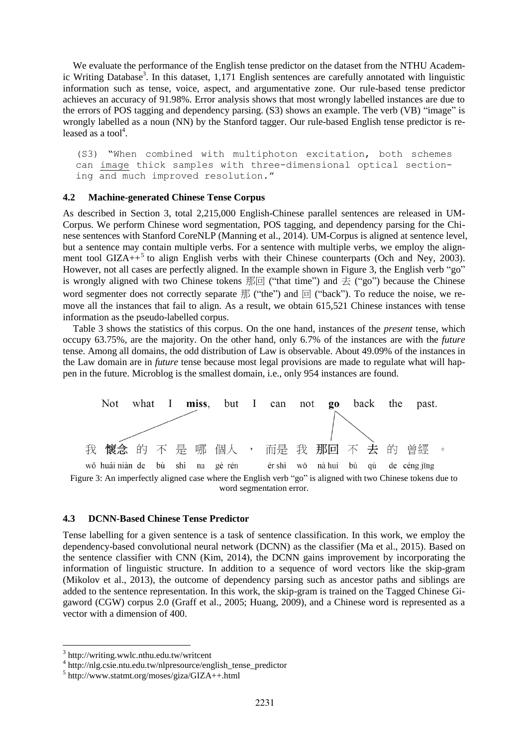We evaluate the performance of the English tense predictor on the dataset from the NTHU Academic Writing Database<sup>3</sup>. In this dataset, 1,171 English sentences are carefully annotated with linguistic information such as tense, voice, aspect, and argumentative zone. Our rule-based tense predictor achieves an accuracy of 91.98%. Error analysis shows that most wrongly labelled instances are due to the errors of POS tagging and dependency parsing. (S3) shows an example. The verb (VB) "image" is wrongly labelled as a noun (NN) by the Stanford tagger. Our rule-based English tense predictor is released as a tool<sup>4</sup>.

(S3) "When combined with multiphoton excitation, both schemes can image thick samples with three-dimensional optical sectioning and much improved resolution."

#### **4.2 Machine-generated Chinese Tense Corpus**

As described in Section 3, total 2,215,000 English-Chinese parallel sentences are released in UM-Corpus. We perform Chinese word segmentation, POS tagging, and dependency parsing for the Chinese sentences with Stanford CoreNLP (Manning et al., 2014). UM-Corpus is aligned at sentence level, but a sentence may contain multiple verbs. For a sentence with multiple verbs, we employ the alignment tool GIZA $++$ <sup>5</sup> to align English verbs with their Chinese counterparts (Och and Ney, 2003). However, not all cases are perfectly aligned. In the example shown in Figure 3, the English verb "go" is wrongly aligned with two Chinese tokens  $\frac{1}{2}$  ("that time") and  $\pm$  ("go") because the Chinese word segmenter does not correctly separate  $\frac{1}{2}$  ("the") and  $\boxed{ \Box }$  ("back"). To reduce the noise, we remove all the instances that fail to align. As a result, we obtain 615,521 Chinese instances with tense information as the pseudo-labelled corpus.

Table 3 shows the statistics of this corpus. On the one hand, instances of the *present* tense, which occupy 63.75%, are the majority. On the other hand, only 6.7% of the instances are with the *future* tense. Among all domains, the odd distribution of Law is observable. About 49.09% of the instances in the Law domain are in *future* tense because most legal provisions are made to regulate what will happen in the future. Microblog is the smallest domain, i.e., only 954 instances are found.



word segmentation error.

#### **4.3 DCNN-Based Chinese Tense Predictor**

Tense labelling for a given sentence is a task of sentence classification. In this work, we employ the dependency-based convolutional neural network (DCNN) as the classifier (Ma et al., 2015). Based on the sentence classifier with CNN (Kim, 2014), the DCNN gains improvement by incorporating the information of linguistic structure. In addition to a sequence of word vectors like the skip-gram (Mikolov et al., 2013), the outcome of dependency parsing such as ancestor paths and siblings are added to the sentence representation. In this work, the skip-gram is trained on the Tagged Chinese Gigaword (CGW) corpus 2.0 (Graff et al., 2005; Huang, 2009), and a Chinese word is represented as a vector with a dimension of 400.

<sup>3</sup> http://writing.wwlc.nthu.edu.tw/writcent

<sup>4</sup> http://nlg.csie.ntu.edu.tw/nlpresource/english\_tense\_predictor

<sup>5</sup> http://www.statmt.org/moses/giza/GIZA++.html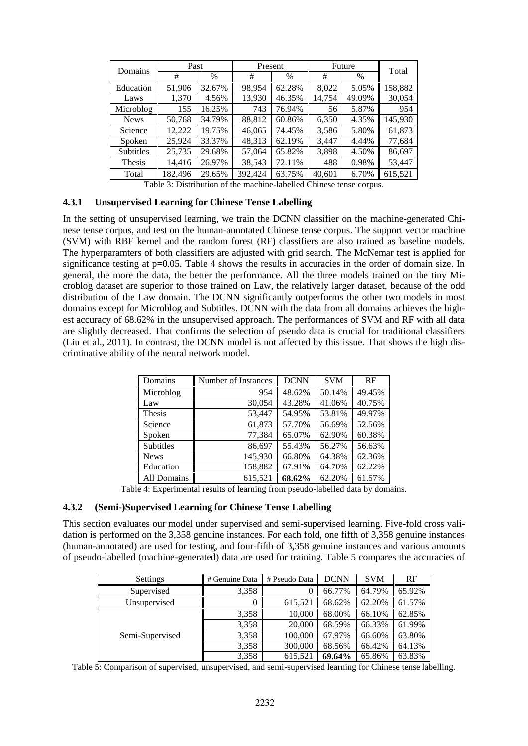| Domains          | Past                                                               |        |         | Present | Future | Total         |         |
|------------------|--------------------------------------------------------------------|--------|---------|---------|--------|---------------|---------|
|                  | #                                                                  | $\%$   | #       | $\%$    | #      | $\frac{0}{0}$ |         |
| Education        | 51,906                                                             | 32.67% | 98.954  | 62.28%  | 8.022  | 5.05%         | 158,882 |
| Laws             | 1,370                                                              | 4.56%  | 13,930  | 46.35%  | 14,754 | 49.09%        | 30,054  |
| Microblog        | 155                                                                | 16.25% | 743     | 76.94%  | 56     | 5.87%         | 954     |
| <b>News</b>      | 50,768                                                             | 34.79% | 88,812  | 60.86%  | 6,350  | 4.35%         | 145,930 |
| Science          | 12,222                                                             | 19.75% | 46,065  | 74.45%  | 3,586  | 5.80%         | 61,873  |
| Spoken           | 25,924                                                             | 33.37% | 48,313  | 62.19%  | 3,447  | 4.44%         | 77,684  |
| <b>Subtitles</b> | 25,735                                                             | 29.68% | 57,064  | 65.82%  | 3,898  | 4.50%         | 86,697  |
| Thesis           | 14,416                                                             | 26.97% | 38,543  | 72.11%  | 488    | 0.98%         | 53,447  |
| Total            | 182,496                                                            | 29.65% | 392,424 | 63.75%  | 40,601 | 6.70%         | 615,521 |
|                  | Table 3: Distribution of the machine labelled Chinese tense corpus |        |         |         |        |               |         |

Ile 3: Distribution of the machine-labelled Chinese tense

### **4.3.1 Unsupervised Learning for Chinese Tense Labelling**

In the setting of unsupervised learning, we train the DCNN classifier on the machine-generated Chinese tense corpus, and test on the human-annotated Chinese tense corpus. The support vector machine (SVM) with RBF kernel and the random forest (RF) classifiers are also trained as baseline models. The hyperparamters of both classifiers are adjusted with grid search. The McNemar test is applied for significance testing at  $p=0.05$ . Table 4 shows the results in accuracies in the order of domain size. In general, the more the data, the better the performance. All the three models trained on the tiny Microblog dataset are superior to those trained on Law, the relatively larger dataset, because of the odd distribution of the Law domain. The DCNN significantly outperforms the other two models in most domains except for Microblog and Subtitles. DCNN with the data from all domains achieves the highest accuracy of 68.62% in the unsupervised approach. The performances of SVM and RF with all data are slightly decreased. That confirms the selection of pseudo data is crucial for traditional classifiers (Liu et al., 2011). In contrast, the DCNN model is not affected by this issue. That shows the high discriminative ability of the neural network model.

| Domains          | Number of Instances | <b>DCNN</b> | <b>SVM</b> | RF     |
|------------------|---------------------|-------------|------------|--------|
| Microblog        | 954                 | 48.62%      | 50.14%     | 49.45% |
| Law              | 30,054              | 43.28%      | 41.06%     | 40.75% |
| Thesis           | 53,447              | 54.95%      | 53.81%     | 49.97% |
| Science          | 61,873              | 57.70%      | 56.69%     | 52.56% |
| Spoken           | 77,384              | 65.07%      | 62.90%     | 60.38% |
| <b>Subtitles</b> | 86,697              | 55.43%      | 56.27%     | 56.63% |
| <b>News</b>      | 145,930             | 66.80%      | 64.38%     | 62.36% |
| Education        | 158,882             | 67.91%      | 64.70%     | 62.22% |
| All Domains      | 615,521             | 68.62%      | 62.20%     | 61.57% |

Table 4: Experimental results of learning from pseudo-labelled data by domains.

#### **4.3.2 (Semi-)Supervised Learning for Chinese Tense Labelling**

This section evaluates our model under supervised and semi-supervised learning. Five-fold cross validation is performed on the 3,358 genuine instances. For each fold, one fifth of 3,358 genuine instances (human-annotated) are used for testing, and four-fifth of 3,358 genuine instances and various amounts of pseudo-labelled (machine-generated) data are used for training. Table 5 compares the accuracies of

| Settings        | # Genuine Data | # Pseudo Data | <b>DCNN</b> | <b>SVM</b> | RF     |
|-----------------|----------------|---------------|-------------|------------|--------|
| Supervised      | 3,358          | 0             | 66.77%      | 64.79%     | 65.92% |
| Unsupervised    |                | 615.521       | 68.62%      | 62.20%     | 61.57% |
|                 | 3,358          | 10,000        | 68.00%      | 66.10%     | 62.85% |
|                 | 3,358          | 20,000        | 68.59%      | 66.33%     | 61.99% |
| Semi-Supervised | 3,358          | 100,000       | 67.97%      | 66.60%     | 63.80% |
|                 | 3,358          | 300,000       | 68.56%      | 66.42%     | 64.13% |
|                 | 3,358          | 615,521       | 69.64%      | 65.86%     | 63.83% |

Table 5: Comparison of supervised, unsupervised, and semi-supervised learning for Chinese tense labelling.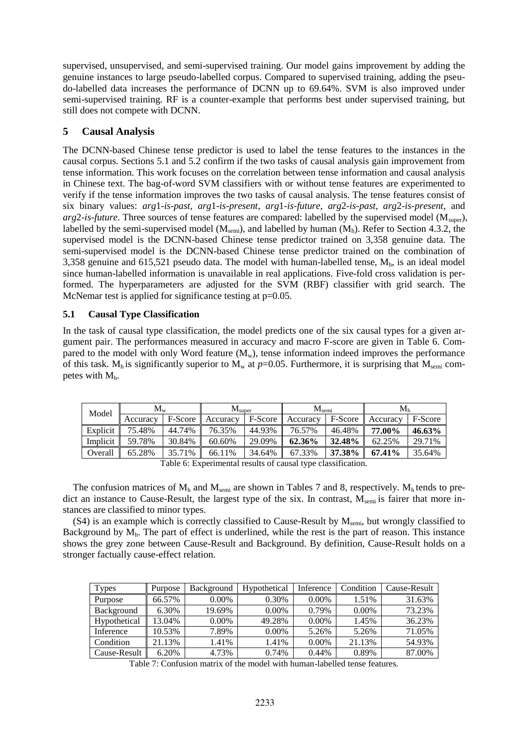supervised, unsupervised, and semi-supervised training. Our model gains improvement by adding the genuine instances to large pseudo-labelled corpus. Compared to supervised training, adding the pseudo-labelled data increases the performance of DCNN up to 69.64%. SVM is also improved under semi-supervised training. RF is a counter-example that performs best under supervised training, but still does not compete with DCNN.

## **5 Causal Analysis**

The DCNN-based Chinese tense predictor is used to label the tense features to the instances in the causal corpus. Sections 5.1 and 5.2 confirm if the two tasks of causal analysis gain improvement from tense information. This work focuses on the correlation between tense information and causal analysis in Chinese text. The bag-of-word SVM classifiers with or without tense features are experimented to verify if the tense information improves the two tasks of causal analysis. The tense features consist of six binary values: *arg*1*-is-past*, *arg*1*-is-present*, *arg*1*-is-future*, *arg*2*-is-past*, *arg*2*-is-present*, and arg2-is-future. Three sources of tense features are compared: labelled by the supervised model (M<sub>super</sub>), labelled by the semi-supervised model ( $M_{\text{semi}}$ ), and labelled by human ( $M_{\text{h}}$ ). Refer to Section 4.3.2, the supervised model is the DCNN-based Chinese tense predictor trained on 3,358 genuine data. The semi-supervised model is the DCNN-based Chinese tense predictor trained on the combination of 3,358 genuine and 615,521 pseudo data. The model with human-labelled tense,  $M<sub>h</sub>$ , is an ideal model since human-labelled information is unavailable in real applications. Five-fold cross validation is performed. The hyperparameters are adjusted for the SVM (RBF) classifier with grid search. The McNemar test is applied for significance testing at  $p=0.05$ .

## **5.1 Causal Type Classification**

In the task of causal type classification, the model predicts one of the six causal types for a given argument pair. The performances measured in accuracy and macro F-score are given in Table 6. Compared to the model with only Word feature  $(M_w)$ , tense information indeed improves the performance of this task. M<sub>h</sub> is significantly superior to M<sub>w</sub> at  $p=0.05$ . Furthermore, it is surprising that M<sub>semi</sub> competes with Mh.

| Model    | $\mathbf{M}_{\mathbf{w}}$ |         | IVI <sub>super</sub> |         | $\rm M_{semi}$ |         | $\rm M_h$ |         |
|----------|---------------------------|---------|----------------------|---------|----------------|---------|-----------|---------|
|          | Accuracy                  | F-Score | Accuracy             | F-Score | Accuracv       | F-Score | Accuracy  | F-Score |
| Explicit | 75.48%                    | 44.74%  | 76.35%               | 44.93%  | 76.57%         | 46.48%  | 77.00%    | 46.63%  |
| Implicit | 59.78%                    | 30.84%  | 60.60%               | 29.09%  | 62.36%         | 32.48%  | 62.25%    | 29.71%  |
| Overall  | 65.28%                    | 35.71%  | 66.11%               | 34.64%  | 67.33%         | 37.38%  | 67.41%    | 35.64%  |

Table 6: Experimental results of causal type classification.

The confusion matrices of  $M_h$  and  $M_{semi}$  are shown in Tables 7 and 8, respectively.  $M_h$  tends to predict an instance to Cause-Result, the largest type of the six. In contrast,  $M<sub>semi</sub>$  is fairer that more instances are classified to minor types.

 $(S4)$  is an example which is correctly classified to Cause-Result by  $M<sub>semi</sub>$ , but wrongly classified to Background by  $M_h$ . The part of effect is underlined, while the rest is the part of reason. This instance shows the grey zone between Cause-Result and Background. By definition, Cause-Result holds on a stronger factually cause-effect relation.

| <b>Types</b>      | Purpose | Background | Hypothetical | Inference | Condition | Cause-Result |
|-------------------|---------|------------|--------------|-----------|-----------|--------------|
| Purpose           | 66.57%  | $0.00\%$   | 0.30%        | $0.00\%$  | 1.51%     | 31.63%       |
| <b>Background</b> | 6.30%   | 19.69%     | $0.00\%$     | 0.79%     | $0.00\%$  | 73.23%       |
| Hypothetical      | 13.04%  | $0.00\%$   | 49.28%       | $0.00\%$  | 1.45%     | 36.23%       |
| Inference         | 10.53%  | 7.89%      | $0.00\%$     | 5.26%     | 5.26%     | 71.05%       |
| Condition         | 21.13%  | 1.41%      | 1.41%        | $0.00\%$  | 21.13%    | 54.93%       |
| Cause-Result      | 6.20%   | 4.73%      | 0.74%        | $0.44\%$  | 0.89%     | 87.00%       |

Table 7: Confusion matrix of the model with human-labelled tense features.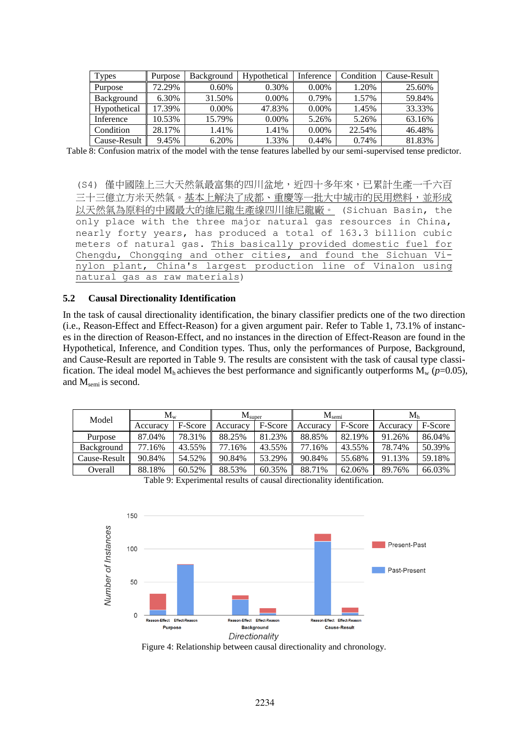| Types        | Purpose | Background | Hypothetical | Inference | Condition | Cause-Result |
|--------------|---------|------------|--------------|-----------|-----------|--------------|
| Purpose      | 72.29%  | 0.60%      | 0.30%        | $0.00\%$  | 1.20%     | 25.60%       |
| Background   | 6.30%   | 31.50%     | $0.00\%$     | 0.79%     | 1.57%     | 59.84%       |
| Hypothetical | 17.39%  | $0.00\%$   | 47.83%       | $0.00\%$  | 1.45%     | 33.33%       |
| Inference    | 10.53%  | 15.79%     | $0.00\%$     | 5.26%     | 5.26%     | 63.16%       |
| Condition    | 28.17%  | 1.41%      | 1.41%        | $0.00\%$  | 22.54%    | 46.48%       |
| Cause-Result | 9.45%   | 6.20%      | 1.33%        | 0.44%     | 0.74%     | 81.83%       |

Table 8: Confusion matrix of the model with the tense features labelled by our semi-supervised tense predictor.

(S4) 僅中國陸上三大天然氣最富集的四川盆地,近四十多年來,已累計生產一千六百 三十三億立方米天然氣。基本上解決了成都、重慶等一批大中城市的民用燃料,並形成 以天然氣為原料的中國最大的維尼龍生產線四川維尼龍廠。 (Sichuan Basin, the only place with the three major natural gas resources in China, nearly forty years, has produced a total of 163.3 billion cubic meters of natural gas. This basically provided domestic fuel for Chengdu, Chongqing and other cities, and found the Sichuan Vinylon plant, China's largest production line of Vinalon using natural gas as raw materials)

#### **5.2 Causal Directionality Identification**

In the task of causal directionality identification, the binary classifier predicts one of the two direction (i.e., Reason-Effect and Effect-Reason) for a given argument pair. Refer to Table 1, 73.1% of instances in the direction of Reason-Effect, and no instances in the direction of Effect-Reason are found in the Hypothetical, Inference, and Condition types. Thus, only the performances of Purpose, Background, and Cause-Result are reported in Table 9. The results are consistent with the task of causal type classification. The ideal model  $M_h$  achieves the best performance and significantly outperforms  $M_w$  ( $p=0.05$ ), and M<sub>semi</sub> is second.

| Model        | $M_{w}$  |         | $\rm M_{super}$ |         | $\rm M_{semi}$ |         | $\rm M_h$ |         |
|--------------|----------|---------|-----------------|---------|----------------|---------|-----------|---------|
|              | Accuracy | F-Score | Accuracv        | F-Score | Accuracy       | F-Score | Accuracy  | F-Score |
| Purpose      | 87.04%   | 78.31%  | 88.25%          | 81.23%  | 88.85%         | 82.19%  | 91.26%    | 86.04%  |
| Background   | 77.16%   | 43.55%  | 77.16%          | 43.55%  | 77.16%         | 43.55%  | 78.74%    | 50.39%  |
| Cause-Result | 90.84%   | 54.52%  | 90.84%          | 53.29%  | 90.84%         | 55.68%  | 91.13%    | 59.18%  |
| Overall      | 88.18%   | 60.52%  | 88.53%          | 60.35%  | 88.71%         | 62.06%  | 89.76%    | 66.03%  |

Table 9: Experimental results of causal directionality identification.



Figure 4: Relationship between causal directionality and chronology.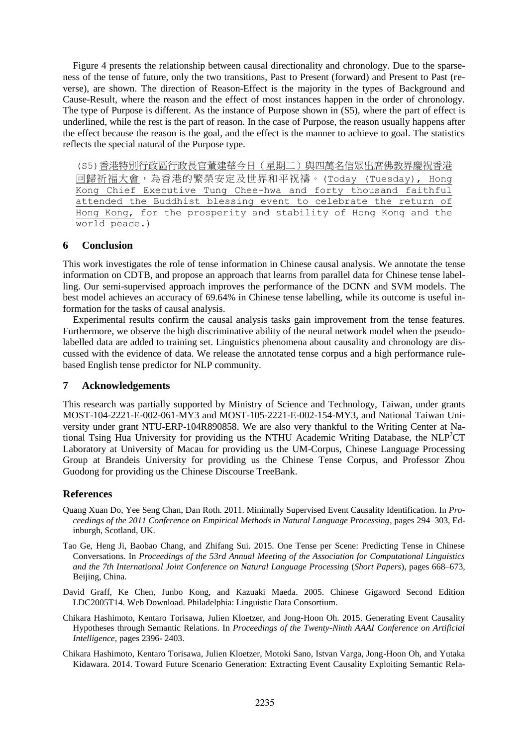Figure 4 presents the relationship between causal directionality and chronology. Due to the sparseness of the tense of future, only the two transitions, Past to Present (forward) and Present to Past (reverse), are shown. The direction of Reason-Effect is the majority in the types of Background and Cause-Result, where the reason and the effect of most instances happen in the order of chronology. The type of Purpose is different. As the instance of Purpose shown in (S5), where the part of effect is underlined, while the rest is the part of reason. In the case of Purpose, the reason usually happens after the effect because the reason is the goal, and the effect is the manner to achieve to goal. The statistics reflects the special natural of the Purpose type.

(S5)香港特別行政區行政長官董建華今日(星期二)與四萬名信眾出席佛教界慶祝香港 回歸祈福大會,為香港的繁榮安定及世界和平祝禱。(Today (Tuesday), Hong Kong Chief Executive Tung Chee-hwa and forty thousand faithful attended the Buddhist blessing event to celebrate the return of Hong Kong, for the prosperity and stability of Hong Kong and the world peace.)

## **6 Conclusion**

This work investigates the role of tense information in Chinese causal analysis. We annotate the tense information on CDTB, and propose an approach that learns from parallel data for Chinese tense labelling. Our semi-supervised approach improves the performance of the DCNN and SVM models. The best model achieves an accuracy of 69.64% in Chinese tense labelling, while its outcome is useful information for the tasks of causal analysis.

Experimental results confirm the causal analysis tasks gain improvement from the tense features. Furthermore, we observe the high discriminative ability of the neural network model when the pseudolabelled data are added to training set. Linguistics phenomena about causality and chronology are discussed with the evidence of data. We release the annotated tense corpus and a high performance rulebased English tense predictor for NLP community.

## **7 Acknowledgements**

This research was partially supported by Ministry of Science and Technology, Taiwan, under grants MOST-104-2221-E-002-061-MY3 and MOST-105-2221-E-002-154-MY3, and National Taiwan University under grant NTU-ERP-104R890858. We are also very thankful to the Writing Center at National Tsing Hua University for providing us the NTHU Academic Writing Database, the NLP<sup>2</sup>CT Laboratory at University of Macau for providing us the UM-Corpus, Chinese Language Processing Group at Brandeis University for providing us the Chinese Tense Corpus, and Professor Zhou Guodong for providing us the Chinese Discourse TreeBank.

### **References**

- Quang Xuan Do, Yee Seng Chan, Dan Roth. 2011. Minimally Supervised Event Causality Identification. In *Proceedings of the 2011 Conference on Empirical Methods in Natural Language Processing*, pages 294–303, Edinburgh, Scotland, UK.
- Tao Ge, Heng Ji, Baobao Chang, and Zhifang Sui. 2015. One Tense per Scene: Predicting Tense in Chinese Conversations. In *Proceedings of the 53rd Annual Meeting of the Association for Computational Linguistics and the 7th International Joint Conference on Natural Language Processing* (*Short Papers*), pages 668–673, Beijing, China.
- David Graff, Ke Chen, Junbo Kong, and Kazuaki Maeda. 2005. Chinese Gigaword Second Edition LDC2005T14. Web Download. Philadelphia: Linguistic Data Consortium.
- Chikara Hashimoto, Kentaro Torisawa, Julien Kloetzer, and Jong-Hoon Oh. 2015. Generating Event Causality Hypotheses through Semantic Relations. In *Proceedings of the Twenty-Ninth AAAI Conference on Artificial Intelligence*, pages 2396- 2403.
- Chikara Hashimoto, Kentaro Torisawa, Julien Kloetzer, Motoki Sano, Istvan Varga, Jong-Hoon Oh, and Yutaka Kidawara. 2014. Toward Future Scenario Generation: Extracting Event Causality Exploiting Semantic Rela-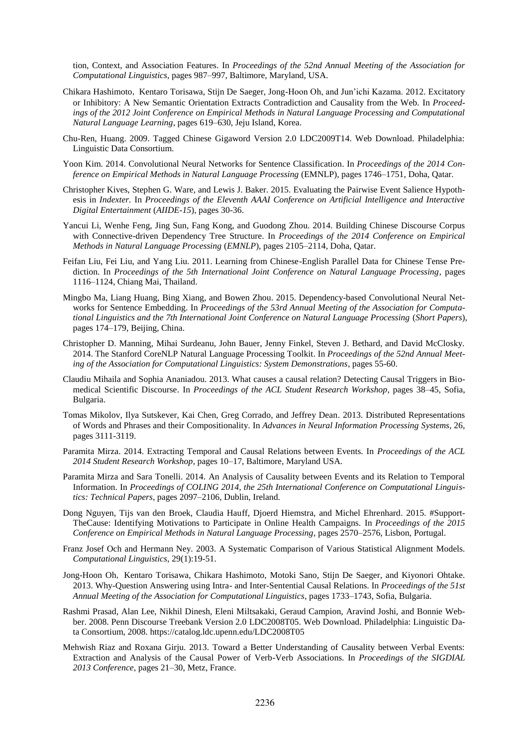tion, Context, and Association Features. In *Proceedings of the 52nd Annual Meeting of the Association for Computational Linguistics*, pages 987–997, Baltimore, Maryland, USA.

- Chikara Hashimoto, Kentaro Torisawa, Stijn De Saeger, Jong-Hoon Oh, and Jun'ichi Kazama. 2012. Excitatory or Inhibitory: A New Semantic Orientation Extracts Contradiction and Causality from the Web. In *Proceedings of the 2012 Joint Conference on Empirical Methods in Natural Language Processing and Computational Natural Language Learning*, pages 619–630, Jeju Island, Korea.
- Chu-Ren, Huang. 2009. Tagged Chinese Gigaword Version 2.0 LDC2009T14. Web Download. Philadelphia: Linguistic Data Consortium.
- Yoon Kim. 2014. Convolutional Neural Networks for Sentence Classification. In *Proceedings of the 2014 Conference on Empirical Methods in Natural Language Processing* (EMNLP), pages 1746–1751, Doha, Qatar.
- Christopher Kives, Stephen G. Ware, and Lewis J. Baker. 2015. Evaluating the Pairwise Event Salience Hypothesis in *Indexter.* In *Proceedings of the Eleventh AAAI Conference on Artificial Intelligence and Interactive Digital Entertainment* (*AIIDE-15*), pages 30-36.
- Yancui Li, Wenhe Feng, Jing Sun, Fang Kong, and Guodong Zhou. 2014. Building Chinese Discourse Corpus with Connective-driven Dependency Tree Structure. In *Proceedings of the 2014 Conference on Empirical Methods in Natural Language Processing* (*EMNLP*), pages 2105–2114, Doha, Qatar.
- Feifan Liu, Fei Liu, and Yang Liu. 2011. Learning from Chinese-English Parallel Data for Chinese Tense Prediction. In *Proceedings of the 5th International Joint Conference on Natural Language Processing*, pages 1116–1124, Chiang Mai, Thailand.
- Mingbo Ma, Liang Huang, Bing Xiang, and Bowen Zhou. 2015. Dependency-based Convolutional Neural Networks for Sentence Embedding. In *Proceedings of the 53rd Annual Meeting of the Association for Computational Linguistics and the 7th International Joint Conference on Natural Language Processing* (*Short Papers*), pages 174–179, Beijing, China.
- Christopher D. Manning, Mihai Surdeanu, John Bauer, Jenny Finkel, Steven J. Bethard, and David McClosky. 2014. The Stanford CoreNLP Natural Language Processing Toolkit. In *Proceedings of the 52nd Annual Meeting of the Association for Computational Linguistics: System Demonstrations*, pages 55-60.
- Claudiu Mihaila and Sophia Ananiadou. 2013. What causes a causal relation? Detecting Causal Triggers in Biomedical Scientific Discourse. In *Proceedings of the ACL Student Research Workshop*, pages 38–45, Sofia, Bulgaria.
- Tomas Mikolov, Ilya Sutskever, Kai Chen, Greg Corrado, and Jeffrey Dean. 2013. Distributed Representations of Words and Phrases and their Compositionality. In *Advances in Neural Information Processing Systems*, 26, pages 3111-3119.
- Paramita Mirza. 2014. Extracting Temporal and Causal Relations between Events. In *Proceedings of the ACL 2014 Student Research Workshop*, pages 10–17, Baltimore, Maryland USA.
- Paramita Mirza and Sara Tonelli. 2014. An Analysis of Causality between Events and its Relation to Temporal Information. In *Proceedings of COLING 2014, the 25th International Conference on Computational Linguistics: Technical Papers*, pages 2097–2106, Dublin, Ireland.
- Dong Nguyen, Tijs van den Broek, Claudia Hauff, Djoerd Hiemstra, and Michel Ehrenhard. 2015. #Support-TheCause: Identifying Motivations to Participate in Online Health Campaigns. In *Proceedings of the 2015 Conference on Empirical Methods in Natural Language Processing*, pages 2570–2576, Lisbon, Portugal.
- Franz Josef Och and Hermann Ney. 2003. A Systematic Comparison of Various Statistical Alignment Models. *Computational Linguistics*, 29(1):19-51.
- Jong-Hoon Oh, Kentaro Torisawa, Chikara Hashimoto, Motoki Sano, Stijn De Saeger, and Kiyonori Ohtake. 2013. Why-Question Answering using Intra- and Inter-Sentential Causal Relations. In *Proceedings of the 51st Annual Meeting of the Association for Computational Linguistics*, pages 1733–1743, Sofia, Bulgaria.
- Rashmi Prasad, Alan Lee, Nikhil Dinesh, Eleni Miltsakaki, Geraud Campion, Aravind Joshi, and Bonnie Webber. 2008. Penn Discourse Treebank Version 2.0 LDC2008T05. Web Download. Philadelphia: Linguistic Data Consortium, 2008. https://catalog.ldc.upenn.edu/LDC2008T05
- Mehwish Riaz and Roxana Girju. 2013. Toward a Better Understanding of Causality between Verbal Events: Extraction and Analysis of the Causal Power of Verb-Verb Associations. In *Proceedings of the SIGDIAL 2013 Conference*, pages 21–30, Metz, France.